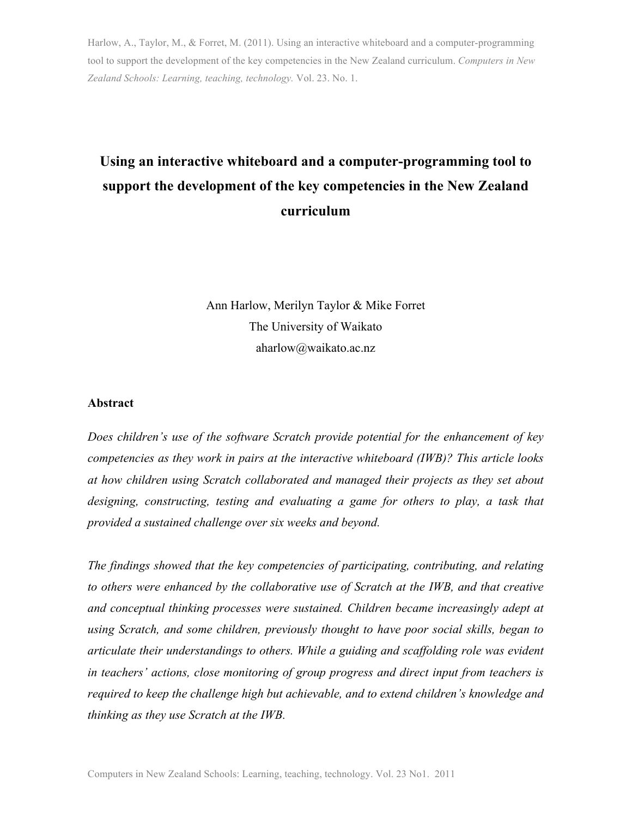Harlow, A., Taylor, M., & Forret, M. (2011). Using an interactive whiteboard and a computer-programming tool to support the development of the key competencies in the New Zealand curriculum. *Computers in New Zealand Schools: Learning, teaching, technology.* Vol. 23. No. 1.

# **Using an interactive whiteboard and a computer-programming tool to support the development of the key competencies in the New Zealand curriculum**

Ann Harlow, Merilyn Taylor & Mike Forret The University of Waikato aharlow@waikato.ac.nz

#### **Abstract**

*Does children's use of the software Scratch provide potential for the enhancement of key competencies as they work in pairs at the interactive whiteboard (IWB)? This article looks at how children using Scratch collaborated and managed their projects as they set about designing, constructing, testing and evaluating a game for others to play, a task that provided a sustained challenge over six weeks and beyond.* 

*The findings showed that the key competencies of participating, contributing, and relating to others were enhanced by the collaborative use of Scratch at the IWB, and that creative and conceptual thinking processes were sustained. Children became increasingly adept at using Scratch, and some children, previously thought to have poor social skills, began to articulate their understandings to others. While a guiding and scaffolding role was evident in teachers' actions, close monitoring of group progress and direct input from teachers is required to keep the challenge high but achievable, and to extend children's knowledge and thinking as they use Scratch at the IWB.*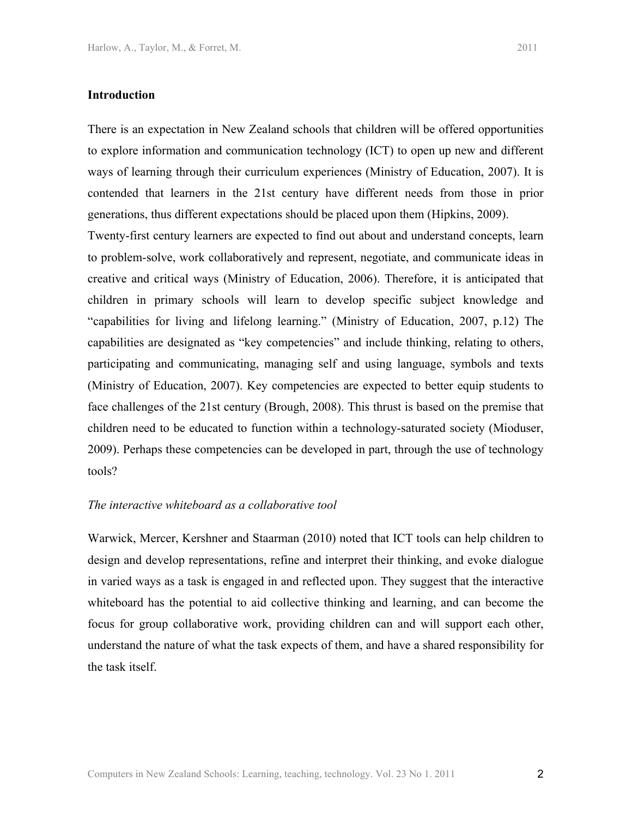There is an expectation in New Zealand schools that children will be offered opportunities to explore information and communication technology (ICT) to open up new and different ways of learning through their curriculum experiences (Ministry of Education, 2007). It is contended that learners in the 21st century have different needs from those in prior generations, thus different expectations should be placed upon them (Hipkins, 2009).

Twenty-first century learners are expected to find out about and understand concepts, learn to problem-solve, work collaboratively and represent, negotiate, and communicate ideas in creative and critical ways (Ministry of Education, 2006). Therefore, it is anticipated that children in primary schools will learn to develop specific subject knowledge and "capabilities for living and lifelong learning." (Ministry of Education, 2007, p.12) The capabilities are designated as "key competencies" and include thinking, relating to others, participating and communicating, managing self and using language, symbols and texts (Ministry of Education, 2007). Key competencies are expected to better equip students to face challenges of the 21st century (Brough, 2008). This thrust is based on the premise that children need to be educated to function within a technology-saturated society (Mioduser, 2009). Perhaps these competencies can be developed in part, through the use of technology tools?

#### *The interactive whiteboard as a collaborative tool*

Warwick, Mercer, Kershner and Staarman (2010) noted that ICT tools can help children to design and develop representations, refine and interpret their thinking, and evoke dialogue in varied ways as a task is engaged in and reflected upon. They suggest that the interactive whiteboard has the potential to aid collective thinking and learning, and can become the focus for group collaborative work, providing children can and will support each other, understand the nature of what the task expects of them, and have a shared responsibility for the task itself.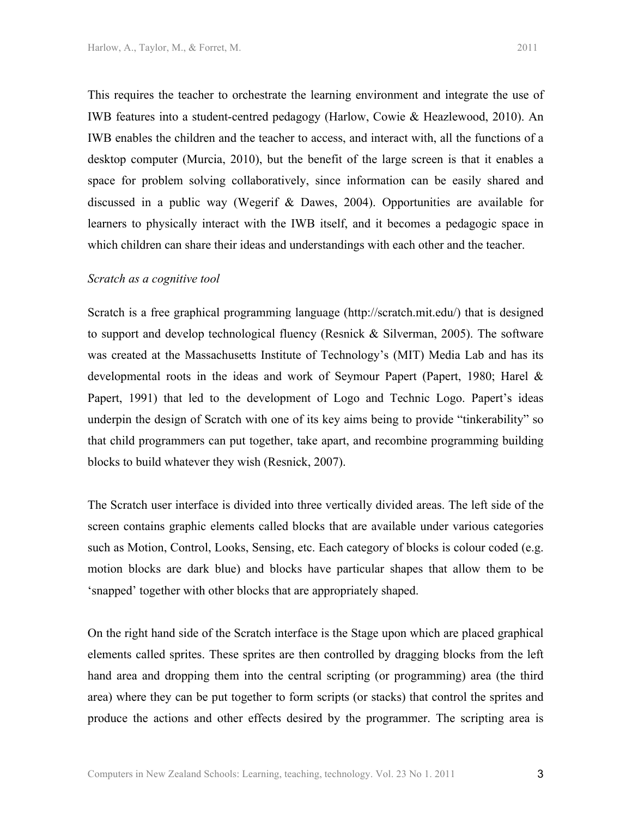This requires the teacher to orchestrate the learning environment and integrate the use of IWB features into a student-centred pedagogy (Harlow, Cowie & Heazlewood, 2010). An IWB enables the children and the teacher to access, and interact with, all the functions of a desktop computer (Murcia, 2010), but the benefit of the large screen is that it enables a space for problem solving collaboratively, since information can be easily shared and discussed in a public way (Wegerif & Dawes, 2004). Opportunities are available for learners to physically interact with the IWB itself, and it becomes a pedagogic space in which children can share their ideas and understandings with each other and the teacher.

#### *Scratch as a cognitive tool*

Scratch is a free graphical programming language (http://scratch.mit.edu/) that is designed to support and develop technological fluency (Resnick & Silverman, 2005). The software was created at the Massachusetts Institute of Technology's (MIT) Media Lab and has its developmental roots in the ideas and work of Seymour Papert (Papert, 1980; Harel & Papert, 1991) that led to the development of Logo and Technic Logo. Papert's ideas underpin the design of Scratch with one of its key aims being to provide "tinkerability" so that child programmers can put together, take apart, and recombine programming building blocks to build whatever they wish (Resnick, 2007).

The Scratch user interface is divided into three vertically divided areas. The left side of the screen contains graphic elements called blocks that are available under various categories such as Motion, Control, Looks, Sensing, etc. Each category of blocks is colour coded (e.g. motion blocks are dark blue) and blocks have particular shapes that allow them to be 'snapped' together with other blocks that are appropriately shaped.

On the right hand side of the Scratch interface is the Stage upon which are placed graphical elements called sprites. These sprites are then controlled by dragging blocks from the left hand area and dropping them into the central scripting (or programming) area (the third area) where they can be put together to form scripts (or stacks) that control the sprites and produce the actions and other effects desired by the programmer. The scripting area is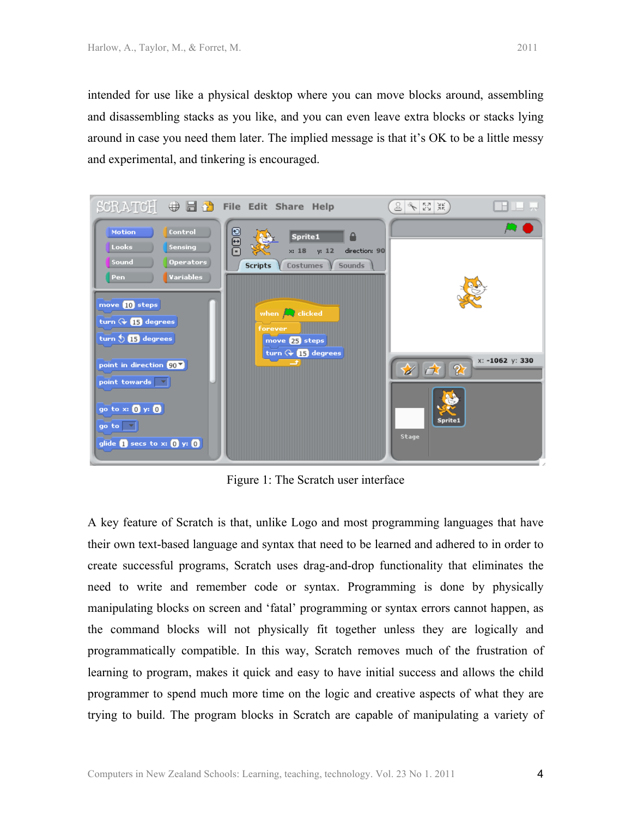intended for use like a physical desktop where you can move blocks around, assembling and disassembling stacks as you like, and you can even leave extra blocks or stacks lying around in case you need them later. The implied message is that it's OK to be a little messy and experimental, and tinkering is encouraged.



Figure 1: The Scratch user interface

A key feature of Scratch is that, unlike Logo and most programming languages that have their own text-based language and syntax that need to be learned and adhered to in order to create successful programs, Scratch uses drag-and-drop functionality that eliminates the need to write and remember code or syntax. Programming is done by physically manipulating blocks on screen and 'fatal' programming or syntax errors cannot happen, as the command blocks will not physically fit together unless they are logically and programmatically compatible. In this way, Scratch removes much of the frustration of learning to program, makes it quick and easy to have initial success and allows the child programmer to spend much more time on the logic and creative aspects of what they are trying to build. The program blocks in Scratch are capable of manipulating a variety of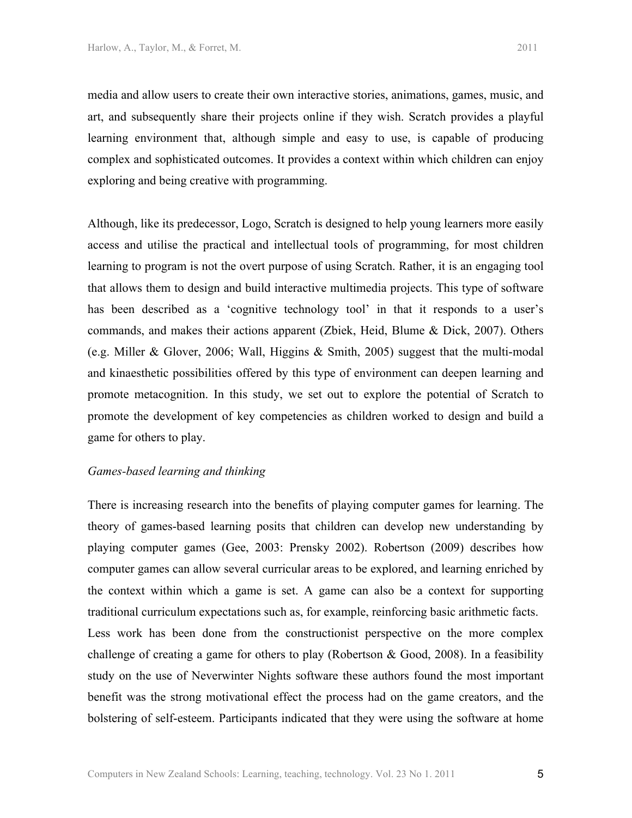media and allow users to create their own interactive stories, animations, games, music, and art, and subsequently share their projects online if they wish. Scratch provides a playful learning environment that, although simple and easy to use, is capable of producing complex and sophisticated outcomes. It provides a context within which children can enjoy exploring and being creative with programming.

Although, like its predecessor, Logo, Scratch is designed to help young learners more easily access and utilise the practical and intellectual tools of programming, for most children learning to program is not the overt purpose of using Scratch. Rather, it is an engaging tool that allows them to design and build interactive multimedia projects. This type of software has been described as a 'cognitive technology tool' in that it responds to a user's commands, and makes their actions apparent (Zbiek, Heid, Blume & Dick, 2007). Others (e.g. Miller & Glover, 2006; Wall, Higgins & Smith, 2005) suggest that the multi-modal and kinaesthetic possibilities offered by this type of environment can deepen learning and promote metacognition. In this study, we set out to explore the potential of Scratch to promote the development of key competencies as children worked to design and build a game for others to play.

## *Games-based learning and thinking*

There is increasing research into the benefits of playing computer games for learning. The theory of games-based learning posits that children can develop new understanding by playing computer games (Gee, 2003: Prensky 2002). Robertson (2009) describes how computer games can allow several curricular areas to be explored, and learning enriched by the context within which a game is set. A game can also be a context for supporting traditional curriculum expectations such as, for example, reinforcing basic arithmetic facts. Less work has been done from the constructionist perspective on the more complex challenge of creating a game for others to play (Robertson & Good, 2008). In a feasibility study on the use of Neverwinter Nights software these authors found the most important benefit was the strong motivational effect the process had on the game creators, and the bolstering of self-esteem. Participants indicated that they were using the software at home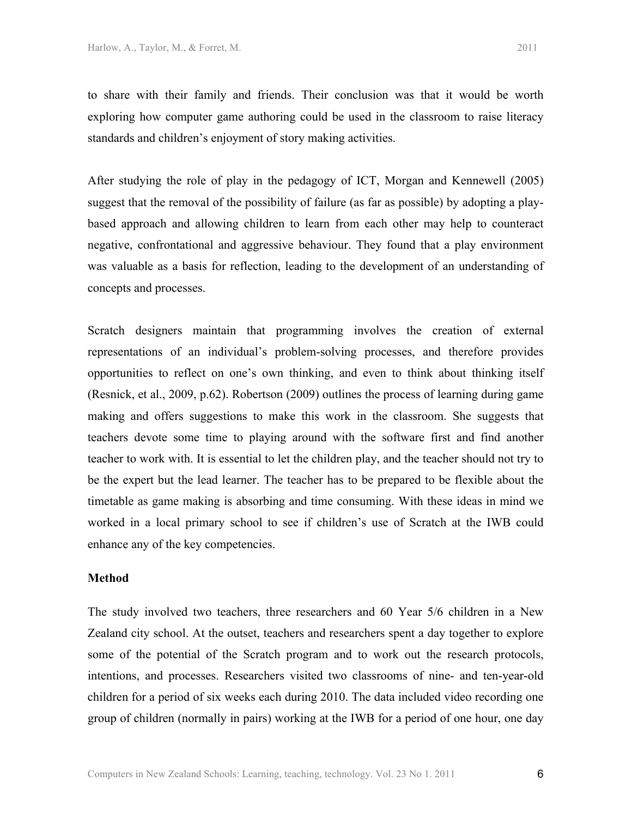to share with their family and friends. Their conclusion was that it would be worth exploring how computer game authoring could be used in the classroom to raise literacy standards and children's enjoyment of story making activities.

After studying the role of play in the pedagogy of ICT, Morgan and Kennewell (2005) suggest that the removal of the possibility of failure (as far as possible) by adopting a playbased approach and allowing children to learn from each other may help to counteract negative, confrontational and aggressive behaviour. They found that a play environment was valuable as a basis for reflection, leading to the development of an understanding of concepts and processes.

Scratch designers maintain that programming involves the creation of external representations of an individual's problem-solving processes, and therefore provides opportunities to reflect on one's own thinking, and even to think about thinking itself (Resnick, et al., 2009, p.62). Robertson (2009) outlines the process of learning during game making and offers suggestions to make this work in the classroom. She suggests that teachers devote some time to playing around with the software first and find another teacher to work with. It is essential to let the children play, and the teacher should not try to be the expert but the lead learner. The teacher has to be prepared to be flexible about the timetable as game making is absorbing and time consuming. With these ideas in mind we worked in a local primary school to see if children's use of Scratch at the IWB could enhance any of the key competencies.

#### **Method**

The study involved two teachers, three researchers and 60 Year 5/6 children in a New Zealand city school. At the outset, teachers and researchers spent a day together to explore some of the potential of the Scratch program and to work out the research protocols, intentions, and processes. Researchers visited two classrooms of nine- and ten-year-old children for a period of six weeks each during 2010. The data included video recording one group of children (normally in pairs) working at the IWB for a period of one hour, one day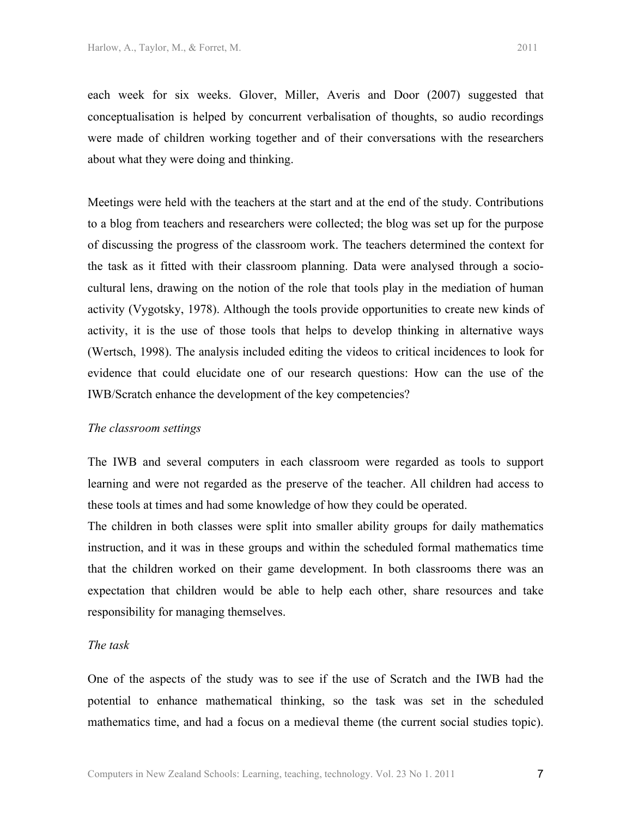each week for six weeks. Glover, Miller, Averis and Door (2007) suggested that conceptualisation is helped by concurrent verbalisation of thoughts, so audio recordings were made of children working together and of their conversations with the researchers about what they were doing and thinking.

Meetings were held with the teachers at the start and at the end of the study. Contributions to a blog from teachers and researchers were collected; the blog was set up for the purpose of discussing the progress of the classroom work. The teachers determined the context for the task as it fitted with their classroom planning. Data were analysed through a sociocultural lens, drawing on the notion of the role that tools play in the mediation of human activity (Vygotsky, 1978). Although the tools provide opportunities to create new kinds of activity, it is the use of those tools that helps to develop thinking in alternative ways (Wertsch, 1998). The analysis included editing the videos to critical incidences to look for evidence that could elucidate one of our research questions: How can the use of the IWB/Scratch enhance the development of the key competencies?

#### *The classroom settings*

The IWB and several computers in each classroom were regarded as tools to support learning and were not regarded as the preserve of the teacher. All children had access to these tools at times and had some knowledge of how they could be operated.

The children in both classes were split into smaller ability groups for daily mathematics instruction, and it was in these groups and within the scheduled formal mathematics time that the children worked on their game development. In both classrooms there was an expectation that children would be able to help each other, share resources and take responsibility for managing themselves.

#### *The task*

One of the aspects of the study was to see if the use of Scratch and the IWB had the potential to enhance mathematical thinking, so the task was set in the scheduled mathematics time, and had a focus on a medieval theme (the current social studies topic).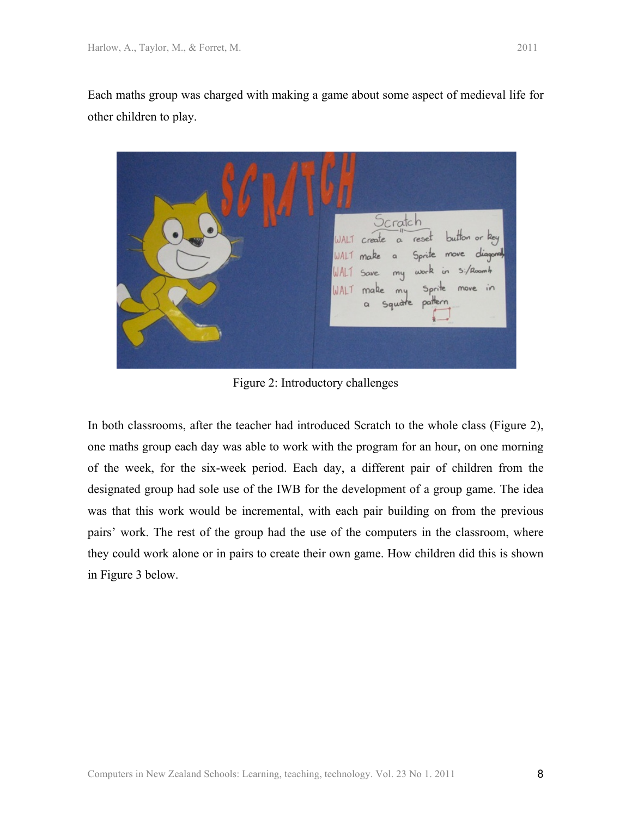Each maths group was charged with making a game about some aspect of medieval life for other children to play.



Figure 2: Introductory challenges

In both classrooms, after the teacher had introduced Scratch to the whole class (Figure 2), one maths group each day was able to work with the program for an hour, on one morning of the week, for the six-week period. Each day, a different pair of children from the designated group had sole use of the IWB for the development of a group game. The idea was that this work would be incremental, with each pair building on from the previous pairs' work. The rest of the group had the use of the computers in the classroom, where they could work alone or in pairs to create their own game. How children did this is shown in Figure 3 below.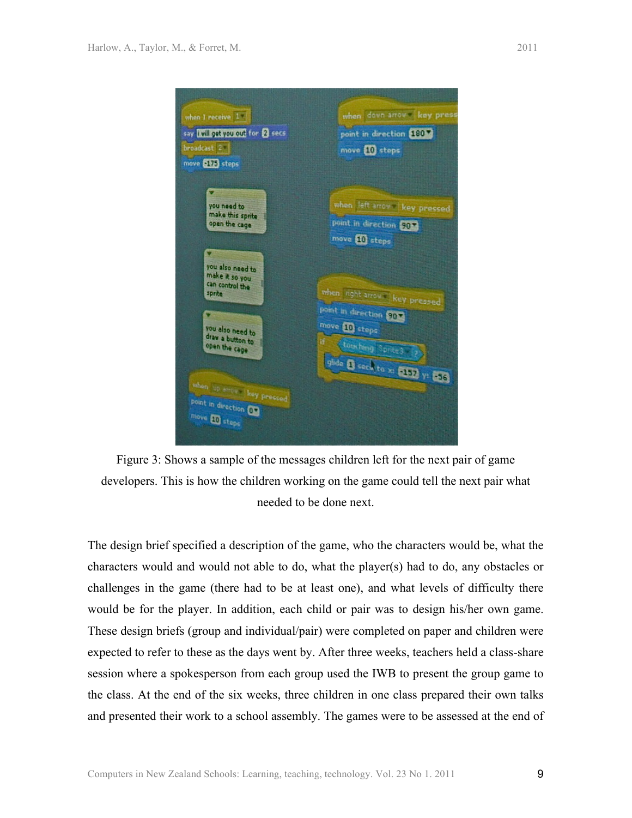



The design brief specified a description of the game, who the characters would be, what the characters would and would not able to do, what the player(s) had to do, any obstacles or challenges in the game (there had to be at least one), and what levels of difficulty there would be for the player. In addition, each child or pair was to design his/her own game. These design briefs (group and individual/pair) were completed on paper and children were expected to refer to these as the days went by. After three weeks, teachers held a class-share session where a spokesperson from each group used the IWB to present the group game to the class. At the end of the six weeks, three children in one class prepared their own talks and presented their work to a school assembly. The games were to be assessed at the end of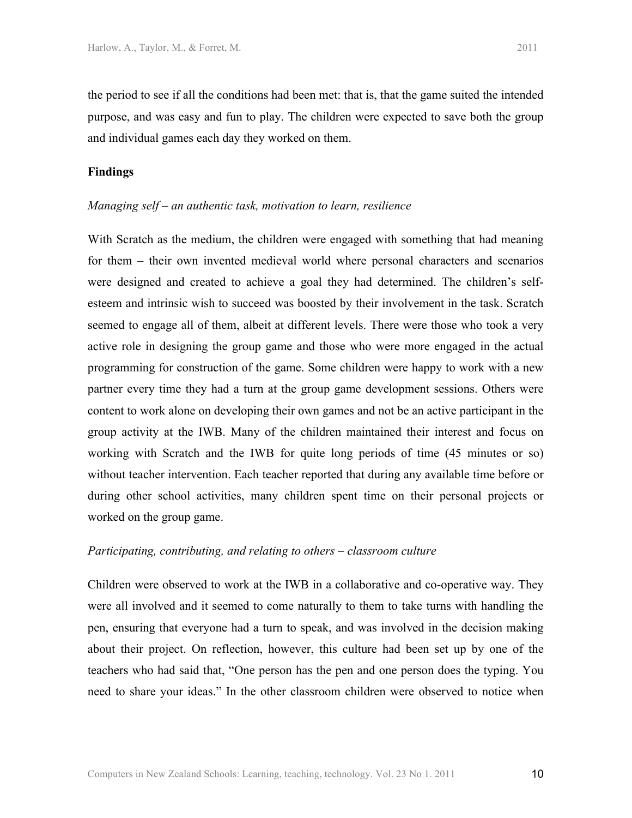## **Findings**

#### *Managing self – an authentic task, motivation to learn, resilience*

With Scratch as the medium, the children were engaged with something that had meaning for them – their own invented medieval world where personal characters and scenarios were designed and created to achieve a goal they had determined. The children's selfesteem and intrinsic wish to succeed was boosted by their involvement in the task. Scratch seemed to engage all of them, albeit at different levels. There were those who took a very active role in designing the group game and those who were more engaged in the actual programming for construction of the game. Some children were happy to work with a new partner every time they had a turn at the group game development sessions. Others were content to work alone on developing their own games and not be an active participant in the group activity at the IWB. Many of the children maintained their interest and focus on working with Scratch and the IWB for quite long periods of time (45 minutes or so) without teacher intervention. Each teacher reported that during any available time before or during other school activities, many children spent time on their personal projects or worked on the group game.

#### *Participating, contributing, and relating to others – classroom culture*

Children were observed to work at the IWB in a collaborative and co-operative way. They were all involved and it seemed to come naturally to them to take turns with handling the pen, ensuring that everyone had a turn to speak, and was involved in the decision making about their project. On reflection, however, this culture had been set up by one of the teachers who had said that, "One person has the pen and one person does the typing. You need to share your ideas." In the other classroom children were observed to notice when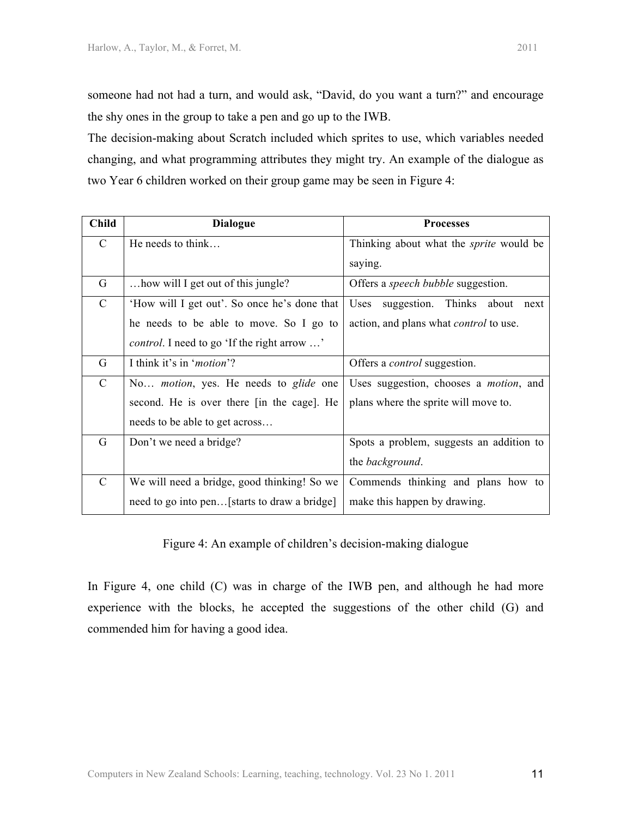The decision-making about Scratch included which sprites to use, which variables needed changing, and what programming attributes they might try. An example of the dialogue as two Year 6 children worked on their group game may be seen in Figure 4:

| <b>Child</b>  | <b>Dialogue</b>                                      | <b>Processes</b>                               |
|---------------|------------------------------------------------------|------------------------------------------------|
| $\mathcal{C}$ | He needs to think                                    | Thinking about what the <i>sprite</i> would be |
|               |                                                      | saying.                                        |
| G             | how will I get out of this jungle?                   | Offers a <i>speech bubble</i> suggestion.      |
| $\mathcal{C}$ | 'How will I get out'. So once he's done that         | suggestion. Thinks about next<br>Uses          |
|               | he needs to be able to move. So I go to              | action, and plans what <i>control</i> to use.  |
|               | <i>control.</i> I need to go 'If the right arrow '   |                                                |
| G             | I think it's in ' <i>motion</i> '?                   | Offers a <i>control</i> suggestion.            |
| $\mathcal{C}$ | No <i>motion</i> , yes. He needs to <i>glide</i> one | Uses suggestion, chooses a <i>motion</i> , and |
|               | second. He is over there [in the cage]. He           | plans where the sprite will move to.           |
|               | needs to be able to get across                       |                                                |
| G             | Don't we need a bridge?                              | Spots a problem, suggests an addition to       |
|               |                                                      | the background.                                |
| $\mathcal{C}$ | We will need a bridge, good thinking! So we          | Commends thinking and plans how to             |
|               | need to go into pen [starts to draw a bridge]        | make this happen by drawing.                   |

Figure 4: An example of children's decision-making dialogue

In Figure 4, one child (C) was in charge of the IWB pen, and although he had more experience with the blocks, he accepted the suggestions of the other child (G) and commended him for having a good idea.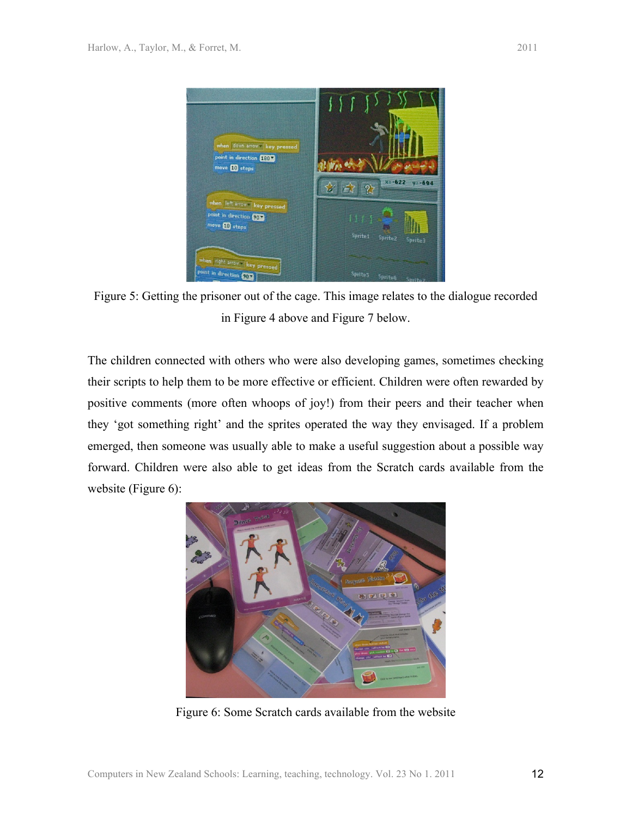

Figure 5: Getting the prisoner out of the cage. This image relates to the dialogue recorded in Figure 4 above and Figure 7 below.

The children connected with others who were also developing games, sometimes checking their scripts to help them to be more effective or efficient. Children were often rewarded by positive comments (more often whoops of joy!) from their peers and their teacher when they 'got something right' and the sprites operated the way they envisaged. If a problem emerged, then someone was usually able to make a useful suggestion about a possible way forward. Children were also able to get ideas from the Scratch cards available from the website (Figure 6):



Figure 6: Some Scratch cards available from the website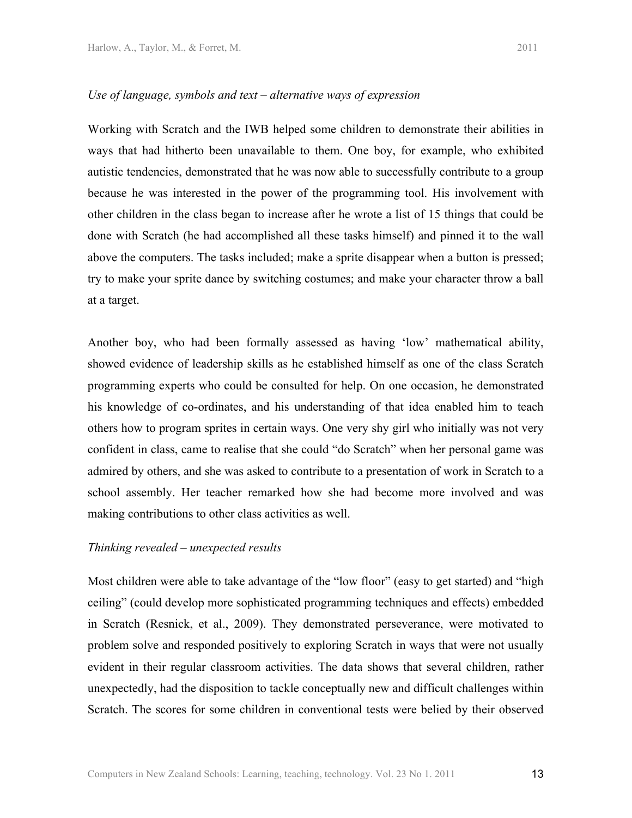#### *Use of language, symbols and text – alternative ways of expression*

Working with Scratch and the IWB helped some children to demonstrate their abilities in ways that had hitherto been unavailable to them. One boy, for example, who exhibited autistic tendencies, demonstrated that he was now able to successfully contribute to a group because he was interested in the power of the programming tool. His involvement with other children in the class began to increase after he wrote a list of 15 things that could be done with Scratch (he had accomplished all these tasks himself) and pinned it to the wall above the computers. The tasks included; make a sprite disappear when a button is pressed; try to make your sprite dance by switching costumes; and make your character throw a ball at a target.

Another boy, who had been formally assessed as having 'low' mathematical ability, showed evidence of leadership skills as he established himself as one of the class Scratch programming experts who could be consulted for help. On one occasion, he demonstrated his knowledge of co-ordinates, and his understanding of that idea enabled him to teach others how to program sprites in certain ways. One very shy girl who initially was not very confident in class, came to realise that she could "do Scratch" when her personal game was admired by others, and she was asked to contribute to a presentation of work in Scratch to a school assembly. Her teacher remarked how she had become more involved and was making contributions to other class activities as well.

#### *Thinking revealed – unexpected results*

Most children were able to take advantage of the "low floor" (easy to get started) and "high ceiling" (could develop more sophisticated programming techniques and effects) embedded in Scratch (Resnick, et al., 2009). They demonstrated perseverance, were motivated to problem solve and responded positively to exploring Scratch in ways that were not usually evident in their regular classroom activities. The data shows that several children, rather unexpectedly, had the disposition to tackle conceptually new and difficult challenges within Scratch. The scores for some children in conventional tests were belied by their observed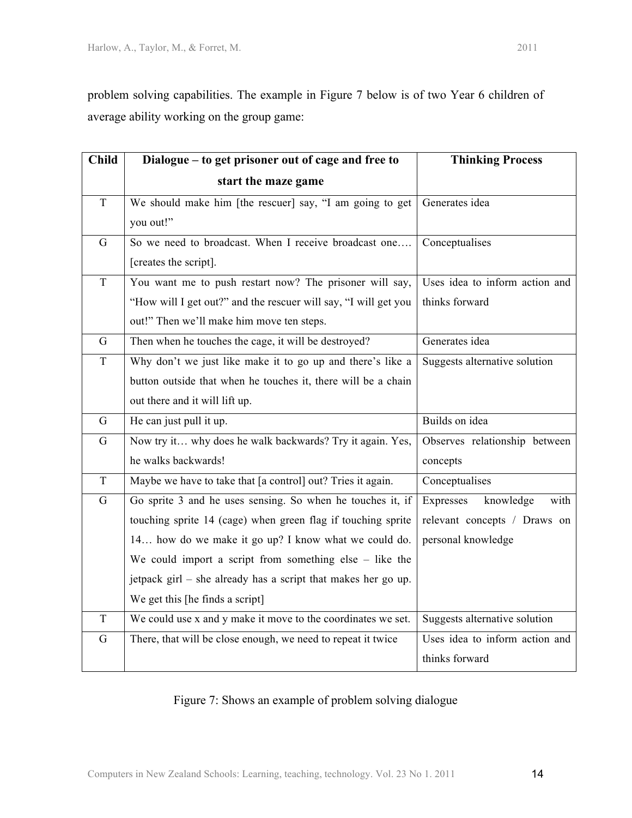problem solving capabilities. The example in Figure 7 below is of two Year 6 children of average ability working on the group game:

| <b>Child</b>   | Dialogue - to get prisoner out of cage and free to              | <b>Thinking Process</b>        |
|----------------|-----------------------------------------------------------------|--------------------------------|
|                | start the maze game                                             |                                |
| $\mathbf T$    | We should make him [the rescuer] say, "I am going to get        | Generates idea                 |
|                | you out!"                                                       |                                |
| G              | So we need to broadcast. When I receive broadcast one           | Conceptualises                 |
|                | [creates the script].                                           |                                |
| $\overline{T}$ | You want me to push restart now? The prisoner will say,         | Uses idea to inform action and |
|                | "How will I get out?" and the rescuer will say, "I will get you | thinks forward                 |
|                | out!" Then we'll make him move ten steps.                       |                                |
| G              | Then when he touches the cage, it will be destroyed?            | Generates idea                 |
| $\mathbf T$    | Why don't we just like make it to go up and there's like a      | Suggests alternative solution  |
|                | button outside that when he touches it, there will be a chain   |                                |
|                | out there and it will lift up.                                  |                                |
| $\mathbf G$    | He can just pull it up.                                         | Builds on idea                 |
| G              | Now try it why does he walk backwards? Try it again. Yes,       | Observes relationship between  |
|                | he walks backwards!                                             | concepts                       |
| $\rm T$        | Maybe we have to take that [a control] out? Tries it again.     | Conceptualises                 |
| G              | Go sprite 3 and he uses sensing. So when he touches it, if      | Expresses<br>knowledge<br>with |
|                | touching sprite 14 (cage) when green flag if touching sprite    | relevant concepts / Draws on   |
|                | 14 how do we make it go up? I know what we could do.            | personal knowledge             |
|                | We could import a script from something $else - like the$       |                                |
|                | jetpack girl – she already has a script that makes her go up.   |                                |
|                | We get this [he finds a script]                                 |                                |
| T              | We could use x and y make it move to the coordinates we set.    | Suggests alternative solution  |
| G              | There, that will be close enough, we need to repeat it twice    | Uses idea to inform action and |
|                |                                                                 | thinks forward                 |

# Figure 7: Shows an example of problem solving dialogue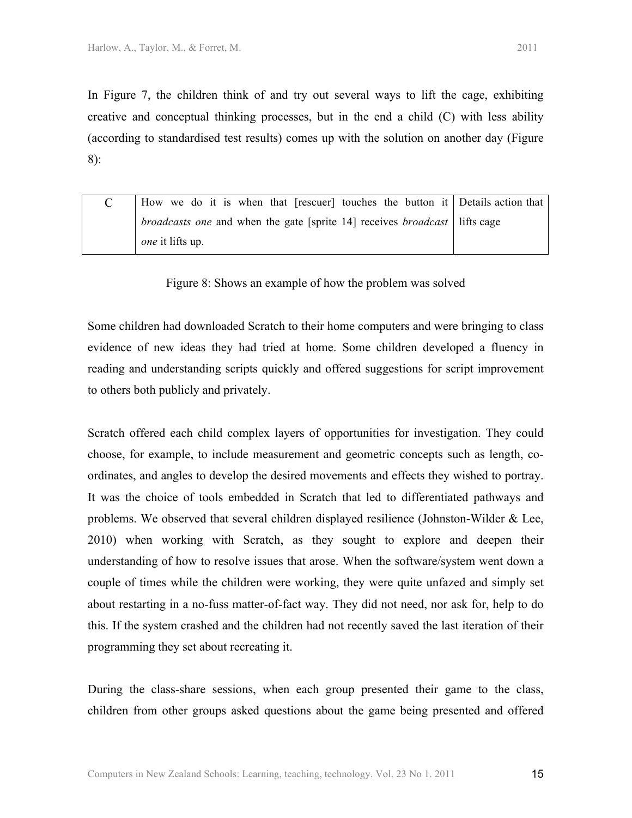In Figure 7, the children think of and try out several ways to lift the cage, exhibiting creative and conceptual thinking processes, but in the end a child (C) with less ability (according to standardised test results) comes up with the solution on another day (Figure 8):

| How we do it is when that [rescuer] touches the button it Details action that              |  |
|--------------------------------------------------------------------------------------------|--|
| <i>broadcasts one</i> and when the gate [sprite 14] receives <i>broadcast</i>   lifts cage |  |
| $one$ it lifts up.                                                                         |  |

Figure 8: Shows an example of how the problem was solved

Some children had downloaded Scratch to their home computers and were bringing to class evidence of new ideas they had tried at home. Some children developed a fluency in reading and understanding scripts quickly and offered suggestions for script improvement to others both publicly and privately.

Scratch offered each child complex layers of opportunities for investigation. They could choose, for example, to include measurement and geometric concepts such as length, coordinates, and angles to develop the desired movements and effects they wished to portray. It was the choice of tools embedded in Scratch that led to differentiated pathways and problems. We observed that several children displayed resilience (Johnston-Wilder  $\&$  Lee, 2010) when working with Scratch, as they sought to explore and deepen their understanding of how to resolve issues that arose. When the software/system went down a couple of times while the children were working, they were quite unfazed and simply set about restarting in a no-fuss matter-of-fact way. They did not need, nor ask for, help to do this. If the system crashed and the children had not recently saved the last iteration of their programming they set about recreating it.

During the class-share sessions, when each group presented their game to the class, children from other groups asked questions about the game being presented and offered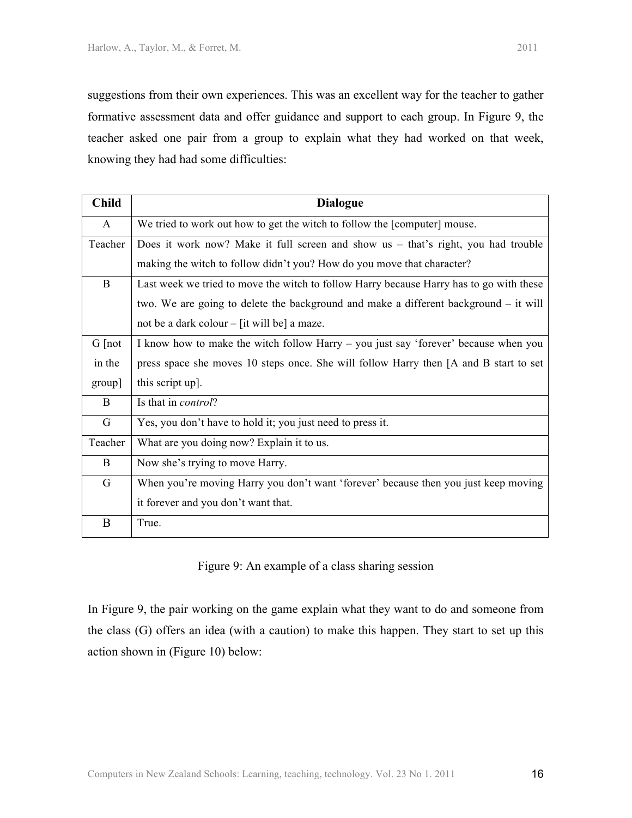suggestions from their own experiences. This was an excellent way for the teacher to gather formative assessment data and offer guidance and support to each group. In Figure 9, the teacher asked one pair from a group to explain what they had worked on that week, knowing they had had some difficulties:

| <b>Child</b> | <b>Dialogue</b>                                                                         |  |
|--------------|-----------------------------------------------------------------------------------------|--|
| A            | We tried to work out how to get the witch to follow the [computer] mouse.               |  |
| Teacher      | Does it work now? Make it full screen and show us – that's right, you had trouble       |  |
|              | making the witch to follow didn't you? How do you move that character?                  |  |
| $\bf{B}$     | Last week we tried to move the witch to follow Harry because Harry has to go with these |  |
|              | two. We are going to delete the background and make a different background $-$ it will  |  |
|              | not be a dark colour $-$ [it will be] a maze.                                           |  |
| $G$ [not     | I know how to make the witch follow Harry – you just say 'forever' because when you     |  |
| in the       | press space she moves 10 steps once. She will follow Harry then [A and B start to set   |  |
| group]       | this script up].                                                                        |  |
| B            | Is that in <i>control</i> ?                                                             |  |
| G            | Yes, you don't have to hold it; you just need to press it.                              |  |
| Teacher      | What are you doing now? Explain it to us.                                               |  |
| B            | Now she's trying to move Harry.                                                         |  |
| G            | When you're moving Harry you don't want 'forever' because then you just keep moving     |  |
|              | it forever and you don't want that.                                                     |  |
| B            | True.                                                                                   |  |

Figure 9: An example of a class sharing session

In Figure 9, the pair working on the game explain what they want to do and someone from the class (G) offers an idea (with a caution) to make this happen. They start to set up this action shown in (Figure 10) below: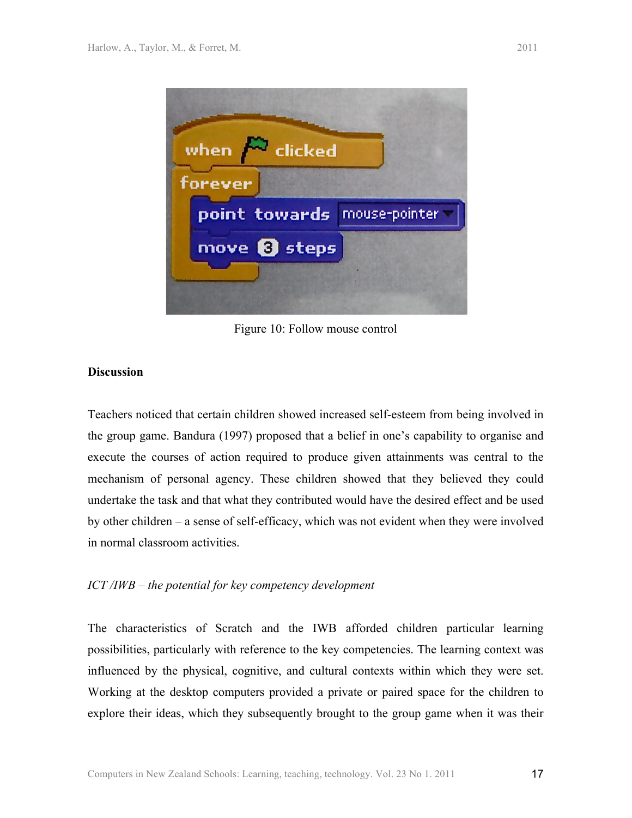

Figure 10: Follow mouse control

## **Discussion**

Teachers noticed that certain children showed increased self-esteem from being involved in the group game. Bandura (1997) proposed that a belief in one's capability to organise and execute the courses of action required to produce given attainments was central to the mechanism of personal agency. These children showed that they believed they could undertake the task and that what they contributed would have the desired effect and be used by other children – a sense of self-efficacy, which was not evident when they were involved in normal classroom activities.

# *ICT /IWB – the potential for key competency development*

The characteristics of Scratch and the IWB afforded children particular learning possibilities, particularly with reference to the key competencies. The learning context was influenced by the physical, cognitive, and cultural contexts within which they were set. Working at the desktop computers provided a private or paired space for the children to explore their ideas, which they subsequently brought to the group game when it was their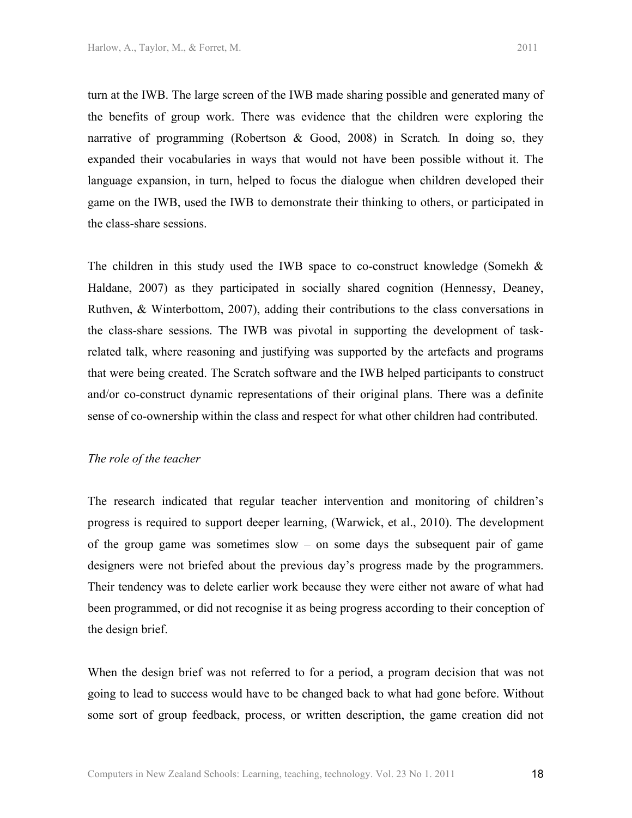turn at the IWB. The large screen of the IWB made sharing possible and generated many of the benefits of group work. There was evidence that the children were exploring the narrative of programming (Robertson & Good, 2008) in Scratch*.* In doing so, they expanded their vocabularies in ways that would not have been possible without it. The language expansion, in turn, helped to focus the dialogue when children developed their game on the IWB, used the IWB to demonstrate their thinking to others, or participated in the class-share sessions.

The children in this study used the IWB space to co-construct knowledge (Somekh  $\&$ Haldane, 2007) as they participated in socially shared cognition (Hennessy, Deaney, Ruthven, & Winterbottom, 2007), adding their contributions to the class conversations in the class-share sessions. The IWB was pivotal in supporting the development of taskrelated talk, where reasoning and justifying was supported by the artefacts and programs that were being created. The Scratch software and the IWB helped participants to construct and/or co-construct dynamic representations of their original plans. There was a definite sense of co-ownership within the class and respect for what other children had contributed.

#### *The role of the teacher*

The research indicated that regular teacher intervention and monitoring of children's progress is required to support deeper learning, (Warwick, et al., 2010). The development of the group game was sometimes slow – on some days the subsequent pair of game designers were not briefed about the previous day's progress made by the programmers. Their tendency was to delete earlier work because they were either not aware of what had been programmed, or did not recognise it as being progress according to their conception of the design brief.

When the design brief was not referred to for a period, a program decision that was not going to lead to success would have to be changed back to what had gone before. Without some sort of group feedback, process, or written description, the game creation did not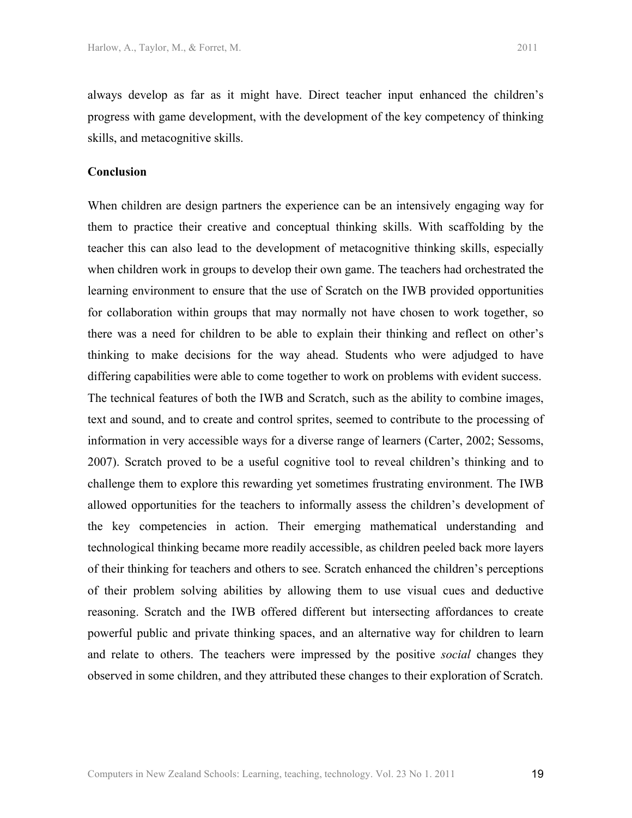always develop as far as it might have. Direct teacher input enhanced the children's progress with game development, with the development of the key competency of thinking skills, and metacognitive skills.

# **Conclusion**

When children are design partners the experience can be an intensively engaging way for them to practice their creative and conceptual thinking skills. With scaffolding by the teacher this can also lead to the development of metacognitive thinking skills, especially when children work in groups to develop their own game. The teachers had orchestrated the learning environment to ensure that the use of Scratch on the IWB provided opportunities for collaboration within groups that may normally not have chosen to work together, so there was a need for children to be able to explain their thinking and reflect on other's thinking to make decisions for the way ahead. Students who were adjudged to have differing capabilities were able to come together to work on problems with evident success. The technical features of both the IWB and Scratch, such as the ability to combine images, text and sound, and to create and control sprites, seemed to contribute to the processing of information in very accessible ways for a diverse range of learners (Carter, 2002; Sessoms, 2007). Scratch proved to be a useful cognitive tool to reveal children's thinking and to challenge them to explore this rewarding yet sometimes frustrating environment. The IWB allowed opportunities for the teachers to informally assess the children's development of the key competencies in action. Their emerging mathematical understanding and technological thinking became more readily accessible, as children peeled back more layers of their thinking for teachers and others to see. Scratch enhanced the children's perceptions of their problem solving abilities by allowing them to use visual cues and deductive reasoning. Scratch and the IWB offered different but intersecting affordances to create powerful public and private thinking spaces, and an alternative way for children to learn and relate to others. The teachers were impressed by the positive *social* changes they observed in some children, and they attributed these changes to their exploration of Scratch.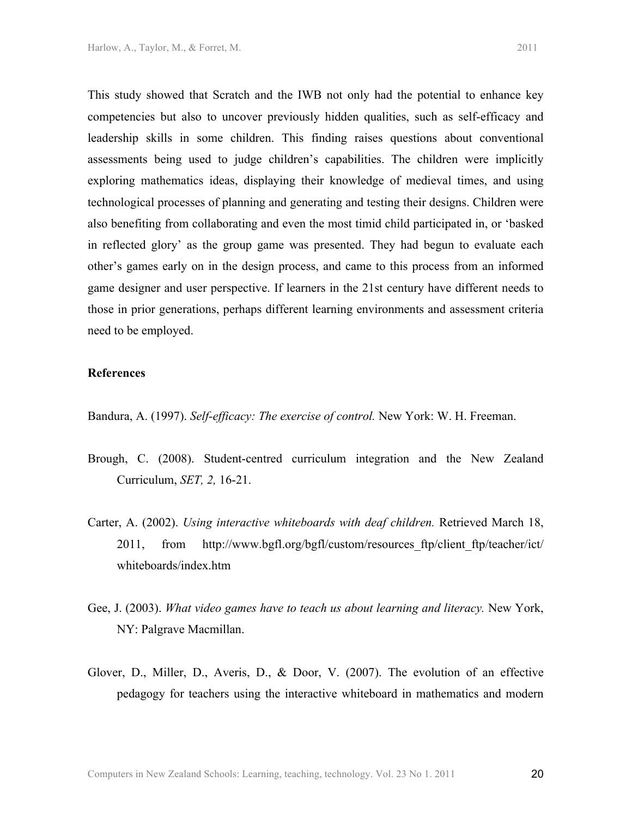This study showed that Scratch and the IWB not only had the potential to enhance key

competencies but also to uncover previously hidden qualities, such as self-efficacy and leadership skills in some children. This finding raises questions about conventional assessments being used to judge children's capabilities. The children were implicitly exploring mathematics ideas, displaying their knowledge of medieval times, and using technological processes of planning and generating and testing their designs. Children were also benefiting from collaborating and even the most timid child participated in, or 'basked in reflected glory' as the group game was presented. They had begun to evaluate each other's games early on in the design process, and came to this process from an informed game designer and user perspective. If learners in the 21st century have different needs to those in prior generations, perhaps different learning environments and assessment criteria need to be employed.

#### **References**

Bandura, A. (1997). *Self-efficacy: The exercise of control.* New York: W. H. Freeman.

- Brough, C. (2008). Student-centred curriculum integration and the New Zealand Curriculum, *SET, 2,* 16-21.
- Carter, A. (2002). *Using interactive whiteboards with deaf children.* Retrieved March 18, 2011, from http://www.bgfl.org/bgfl/custom/resources ftp/client ftp/teacher/ict/ whiteboards/index.htm
- Gee, J. (2003). *What video games have to teach us about learning and literacy.* New York, NY: Palgrave Macmillan.
- Glover, D., Miller, D., Averis, D., & Door, V. (2007). The evolution of an effective pedagogy for teachers using the interactive whiteboard in mathematics and modern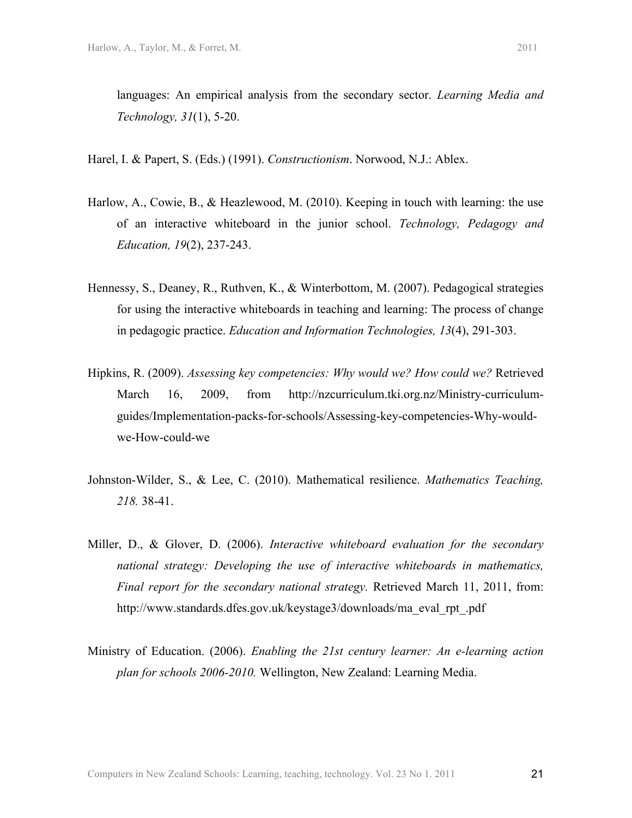languages: An empirical analysis from the secondary sector. *Learning Media and Technology, 31*(1), 5-20.

Harel, I. & Papert, S. (Eds.) (1991). *Constructionism*. Norwood, N.J.: Ablex.

- Harlow, A., Cowie, B., & Heazlewood, M. (2010). Keeping in touch with learning: the use of an interactive whiteboard in the junior school. *Technology, Pedagogy and Education, 19*(2), 237-243.
- Hennessy, S., Deaney, R., Ruthven, K., & Winterbottom, M. (2007). Pedagogical strategies for using the interactive whiteboards in teaching and learning: The process of change in pedagogic practice. *Education and Information Technologies, 13*(4), 291-303.
- Hipkins, R. (2009). *Assessing key competencies: Why would we? How could we?* Retrieved March 16, 2009, from http://nzcurriculum.tki.org.nz/Ministry-curriculumguides/Implementation-packs-for-schools/Assessing-key-competencies-Why-wouldwe-How-could-we
- Johnston-Wilder, S., & Lee, C. (2010). Mathematical resilience. *Mathematics Teaching, 218.* 38-41.
- Miller, D., & Glover, D. (2006). *Interactive whiteboard evaluation for the secondary national strategy: Developing the use of interactive whiteboards in mathematics, Final report for the secondary national strategy.* Retrieved March 11, 2011, from: http://www.standards.dfes.gov.uk/keystage3/downloads/ma\_eval\_rpt\_.pdf
- Ministry of Education. (2006). *Enabling the 21st century learner: An e-learning action plan for schools 2006-2010.* Wellington, New Zealand: Learning Media.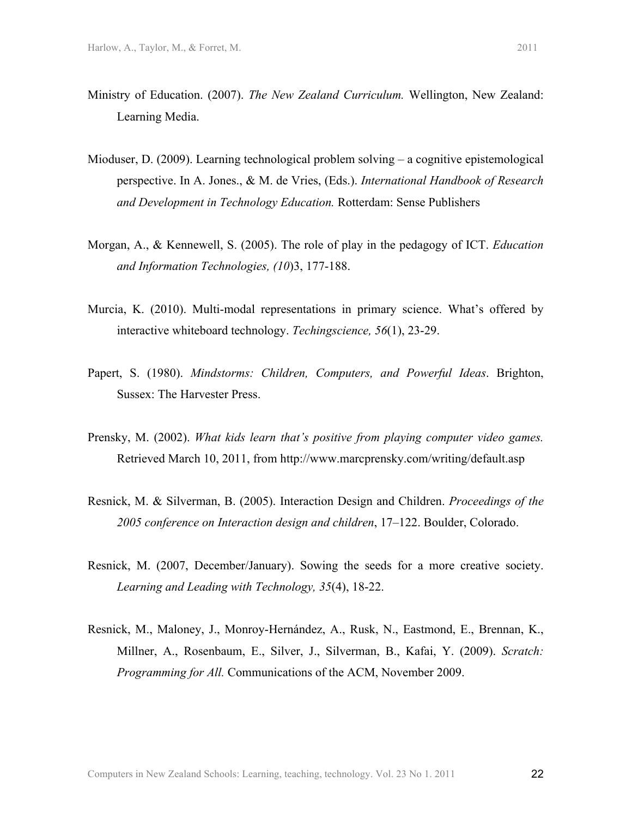- Ministry of Education. (2007). *The New Zealand Curriculum.* Wellington, New Zealand: Learning Media.
- Mioduser, D. (2009). Learning technological problem solving a cognitive epistemological perspective. In A. Jones., & M. de Vries, (Eds.). *International Handbook of Research and Development in Technology Education.* Rotterdam: Sense Publishers
- Morgan, A., & Kennewell, S. (2005). The role of play in the pedagogy of ICT. *Education and Information Technologies, (10*)3, 177-188.
- Murcia, K. (2010). Multi-modal representations in primary science. What's offered by interactive whiteboard technology. *Techingscience, 56*(1), 23-29.
- Papert, S. (1980). *Mindstorms: Children, Computers, and Powerful Ideas*. Brighton, Sussex: The Harvester Press.
- Prensky, M. (2002). *What kids learn that's positive from playing computer video games.* Retrieved March 10, 2011, from http://www.marcprensky.com/writing/default.asp
- Resnick, M. & Silverman, B. (2005). Interaction Design and Children. *Proceedings of the 2005 conference on Interaction design and children*, 17–122. Boulder, Colorado.
- Resnick, M. (2007, December/January). Sowing the seeds for a more creative society. *Learning and Leading with Technology, 35*(4), 18-22.
- Resnick, M., Maloney, J., Monroy-Hernández, A., Rusk, N., Eastmond, E., Brennan, K., Millner, A., Rosenbaum, E., Silver, J., Silverman, B., Kafai, Y. (2009). *Scratch: Programming for All.* Communications of the ACM, November 2009.

22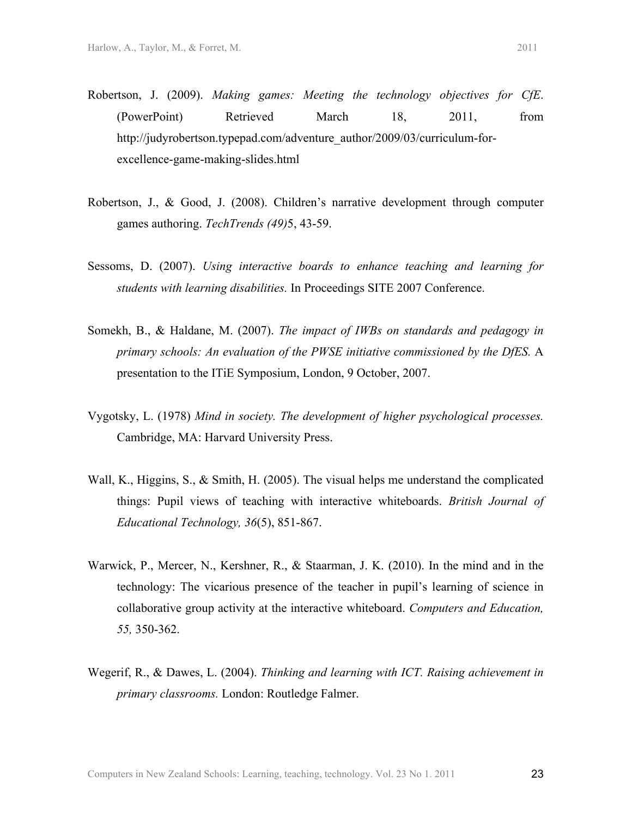- Robertson, J. (2009). *Making games: Meeting the technology objectives for CfE*. (PowerPoint) Retrieved March 18, 2011, from http://judyrobertson.typepad.com/adventure\_author/2009/03/curriculum-forexcellence-game-making-slides.html
- Robertson, J., & Good, J. (2008). Children's narrative development through computer games authoring. *TechTrends (49)*5, 43-59.
- Sessoms, D. (2007). *Using interactive boards to enhance teaching and learning for students with learning disabilities.* In Proceedings SITE 2007 Conference.
- Somekh, B., & Haldane, M. (2007). *The impact of IWBs on standards and pedagogy in primary schools: An evaluation of the PWSE initiative commissioned by the DfES.* A presentation to the ITiE Symposium, London, 9 October, 2007.
- Vygotsky, L. (1978) *Mind in society. The development of higher psychological processes.*  Cambridge, MA: Harvard University Press.
- Wall, K., Higgins, S., & Smith, H. (2005). The visual helps me understand the complicated things: Pupil views of teaching with interactive whiteboards. *British Journal of Educational Technology, 36*(5), 851-867.
- Warwick, P., Mercer, N., Kershner, R., & Staarman, J. K. (2010). In the mind and in the technology: The vicarious presence of the teacher in pupil's learning of science in collaborative group activity at the interactive whiteboard. *Computers and Education, 55,* 350-362.
- Wegerif, R., & Dawes, L. (2004). *Thinking and learning with ICT. Raising achievement in primary classrooms.* London: Routledge Falmer.